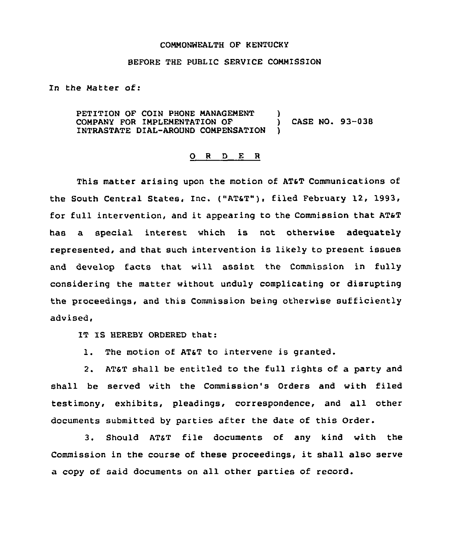## COMMONWEALTH OF KENTUCKY

## BEFORE THE PUBLIC SERVICE COMMISSION

In the Matter of:

PETITION OF COIN PHONE MANAGEMENT )<br>COMPANY FOR IMPLEMENTATION OF ) COMPANY FOR IMPLEMENTATION OF ) CASE NO. 93-038 INTRASTATE DIAL-AROUND COMPENSATION )

## 0 <sup>R</sup> <sup>D</sup> E <sup>R</sup>

This matter arising upon the motion of ATaT communications of the South Central States, Inc. ("AT&T"), filed February 12, 1993, for full intervention, and it appearing to the Commission that ATsT has a special interest which is not otherwise adequately represented, and that such intervention is likely to present issues and develop facts that will assist the Commission in fully considering the matter without unduly complicating or disrupting the proceedings, and this Commission being otherwise sufficiently advised,

IT IS HEREBY ORDERED that:

1. The motion of AT&T to intervene is granted.

2. ATST shall be entitled to the full rights of a party and shall be served with the Commission's Orders and with filed testimony, exhibits, pleadings, correspondence, and all other documents submitted by parties after the date of this Order.

3. Should AT&T file documents of any kind with the Commission in the course of these proceedings, it shall also serve a copy of said documents on all other parties of record.